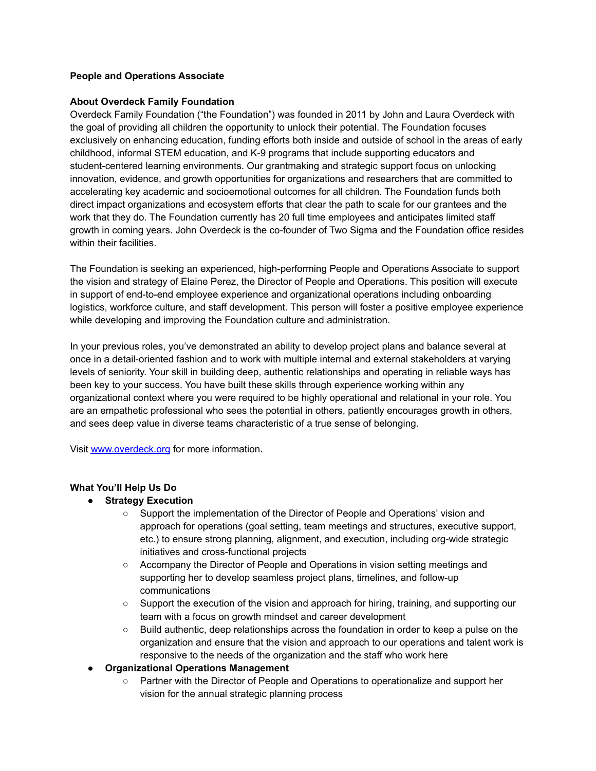## **People and Operations Associate**

## **About Overdeck Family Foundation**

Overdeck Family Foundation ("the Foundation") was founded in 2011 by John and Laura Overdeck with the goal of providing all children the opportunity to unlock their potential. The Foundation focuses exclusively on enhancing education, funding efforts both inside and outside of school in the areas of early childhood, informal STEM education, and K-9 programs that include supporting educators and student-centered learning environments. Our grantmaking and strategic support focus on unlocking innovation, evidence, and growth opportunities for organizations and researchers that are committed to accelerating key academic and socioemotional outcomes for all children. The Foundation funds both direct impact organizations and ecosystem efforts that clear the path to scale for our grantees and the work that they do. The Foundation currently has 20 full time employees and anticipates limited staff growth in coming years. John Overdeck is the co-founder of Two Sigma and the Foundation office resides within their facilities.

The Foundation is seeking an experienced, high-performing People and Operations Associate to support the vision and strategy of Elaine Perez, the Director of People and Operations. This position will execute in support of end-to-end employee experience and organizational operations including onboarding logistics, workforce culture, and staff development. This person will foster a positive employee experience while developing and improving the Foundation culture and administration.

In your previous roles, you've demonstrated an ability to develop project plans and balance several at once in a detail-oriented fashion and to work with multiple internal and external stakeholders at varying levels of seniority. Your skill in building deep, authentic relationships and operating in reliable ways has been key to your success. You have built these skills through experience working within any organizational context where you were required to be highly operational and relational in your role. You are an empathetic professional who sees the potential in others, patiently encourages growth in others, and sees deep value in diverse teams characteristic of a true sense of belonging.

Visit [www.overdeck.org](http://www.overdeck.org/) for more information.

# **What You'll Help Us Do**

- **● Strategy Execution**
	- Support the implementation of the Director of People and Operations' vision and approach for operations (goal setting, team meetings and structures, executive support, etc.) to ensure strong planning, alignment, and execution, including org-wide strategic initiatives and cross-functional projects
	- Accompany the Director of People and Operations in vision setting meetings and supporting her to develop seamless project plans, timelines, and follow-up communications
	- Support the execution of the vision and approach for hiring, training, and supporting our team with a focus on growth mindset and career development
	- Build authentic, deep relationships across the foundation in order to keep a pulse on the organization and ensure that the vision and approach to our operations and talent work is responsive to the needs of the organization and the staff who work here
- **● Organizational Operations Management**
	- Partner with the Director of People and Operations to operationalize and support her vision for the annual strategic planning process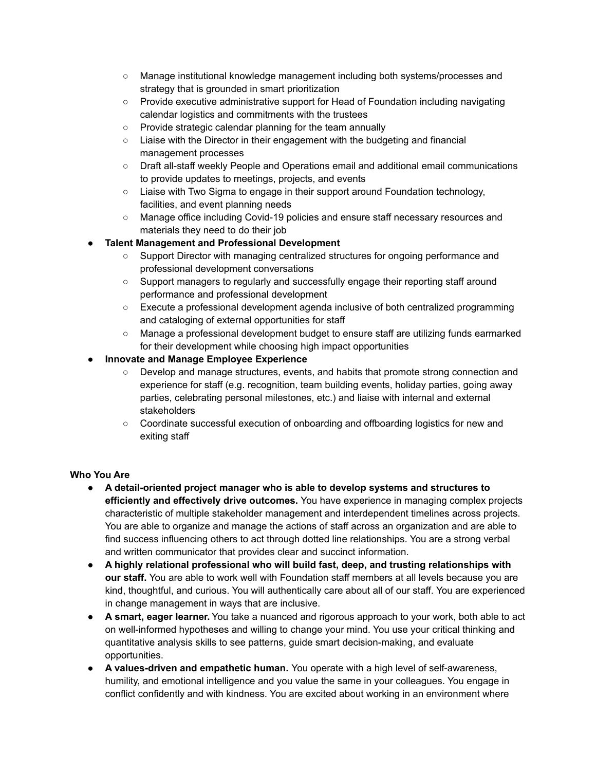- Manage institutional knowledge management including both systems/processes and strategy that is grounded in smart prioritization
- Provide executive administrative support for Head of Foundation including navigating calendar logistics and commitments with the trustees
- Provide strategic calendar planning for the team annually
- Liaise with the Director in their engagement with the budgeting and financial management processes
- Draft all-staff weekly People and Operations email and additional email communications to provide updates to meetings, projects, and events
- Liaise with Two Sigma to engage in their support around Foundation technology, facilities, and event planning needs
- Manage office including Covid-19 policies and ensure staff necessary resources and materials they need to do their job

# ● **Talent Management and Professional Development**

- Support Director with managing centralized structures for ongoing performance and professional development conversations
- Support managers to regularly and successfully engage their reporting staff around performance and professional development
- Execute a professional development agenda inclusive of both centralized programming and cataloging of external opportunities for staff
- Manage a professional development budget to ensure staff are utilizing funds earmarked for their development while choosing high impact opportunities
- **● Innovate and Manage Employee Experience**
	- Develop and manage structures, events, and habits that promote strong connection and experience for staff (e.g. recognition, team building events, holiday parties, going away parties, celebrating personal milestones, etc.) and liaise with internal and external stakeholders
	- Coordinate successful execution of onboarding and offboarding logistics for new and exiting staff

# **Who You Are**

- **A detail-oriented project manager who is able to develop systems and structures to efficiently and effectively drive outcomes.** You have experience in managing complex projects characteristic of multiple stakeholder management and interdependent timelines across projects. You are able to organize and manage the actions of staff across an organization and are able to find success influencing others to act through dotted line relationships. You are a strong verbal and written communicator that provides clear and succinct information.
- **A highly relational professional who will build fast, deep, and trusting relationships with our staff.** You are able to work well with Foundation staff members at all levels because you are kind, thoughtful, and curious. You will authentically care about all of our staff. You are experienced in change management in ways that are inclusive.
- **A smart, eager learner.** You take a nuanced and rigorous approach to your work, both able to act on well-informed hypotheses and willing to change your mind. You use your critical thinking and quantitative analysis skills to see patterns, guide smart decision-making, and evaluate opportunities.
- **A values-driven and empathetic human.** You operate with a high level of self-awareness, humility, and emotional intelligence and you value the same in your colleagues. You engage in conflict confidently and with kindness. You are excited about working in an environment where